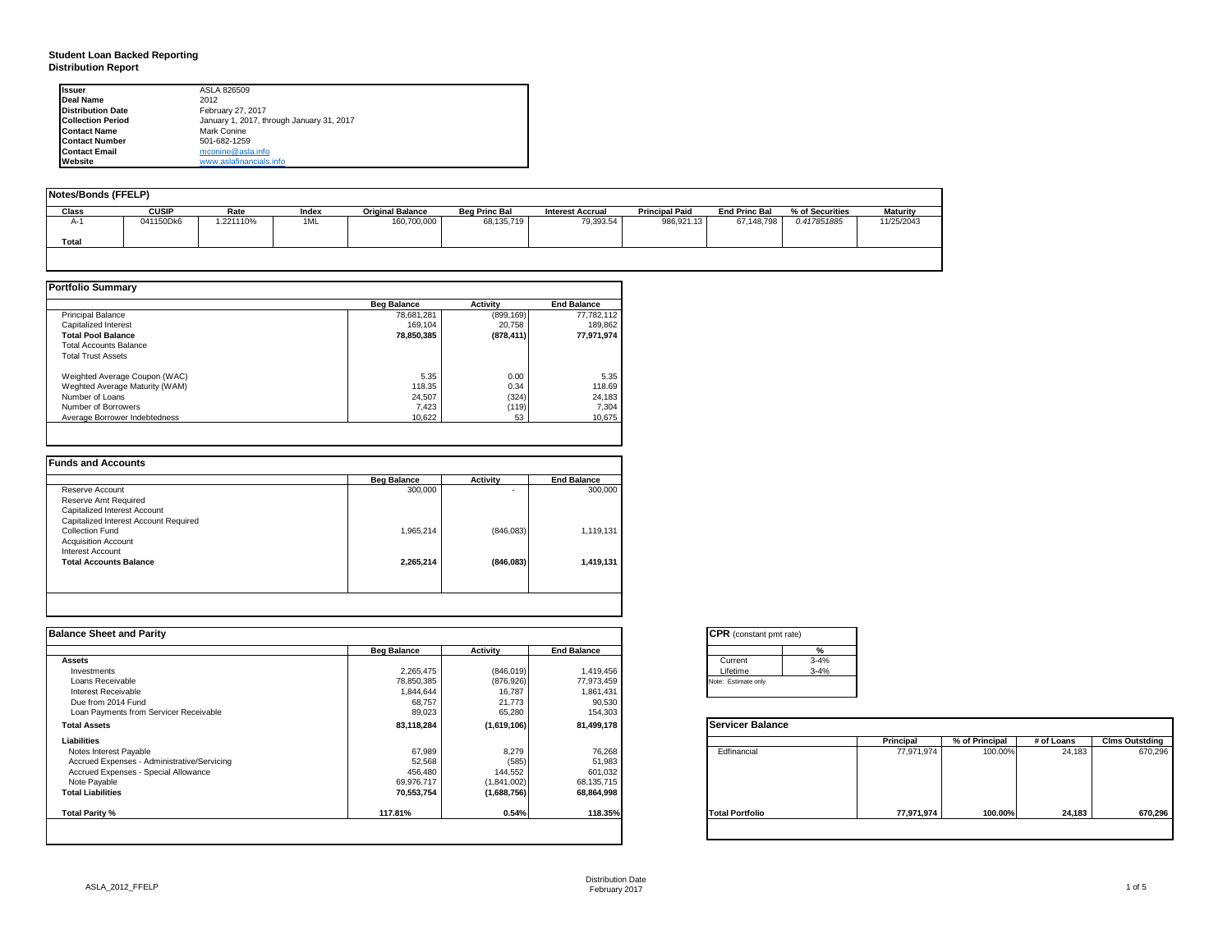### **Student Loan Backed Reporting Distribution Report**

| <b>Issuer</b>            | ASLA 826509                               |
|--------------------------|-------------------------------------------|
| <b>Deal Name</b>         | 2012                                      |
| <b>Distribution Date</b> | February 27, 2017                         |
| <b>Collection Period</b> | January 1, 2017, through January 31, 2017 |
| <b>Contact Name</b>      | Mark Conine                               |
| <b>Contact Number</b>    | 501-682-1259                              |
| <b>Contact Email</b>     | mconine@asla.info                         |
| Website                  | www.aslafinancials.info                   |

| Notes/Bonds (FFELP) |              |           |       |                         |                      |                         |                       |                      |                 |                 |
|---------------------|--------------|-----------|-------|-------------------------|----------------------|-------------------------|-----------------------|----------------------|-----------------|-----------------|
| Class               | <b>CUSIP</b> | Rate      | Index | <b>Original Balance</b> | <b>Beg Princ Bal</b> | <b>Interest Accrual</b> | <b>Principal Paid</b> | <b>End Princ Bal</b> | % of Securities | <b>Maturity</b> |
| А-                  | 041150Dk6    | 1.221110% | 1ML   | 160,700,000             | 68,135,719           | 79,393.54               | 986,921.13            | 67,148,798           | 0.417851885     | 11/25/2043      |
| Total               |              |           |       |                         |                      |                         |                       |                      |                 |                 |
|                     |              |           |       |                         |                      |                         |                       |                      |                 |                 |

|                                | <b>Beg Balance</b> | <b>Activity</b> | <b>End Balance</b> |
|--------------------------------|--------------------|-----------------|--------------------|
| <b>Principal Balance</b>       | 78,681,281         | (899, 169)      | 77.782.112         |
| Capitalized Interest           | 169.104            | 20.758          | 189,862            |
| <b>Total Pool Balance</b>      | 78,850,385         | (878, 411)      | 77,971,974         |
| <b>Total Accounts Balance</b>  |                    |                 |                    |
| <b>Total Trust Assets</b>      |                    |                 |                    |
| Weighted Average Coupon (WAC)  | 5.35               | 0.00            | 5.35               |
| Weghted Average Maturity (WAM) | 118.35             | 0.34            | 118.69             |
| Number of Loans                | 24.507             | (324)           | 24,183             |
| Number of Borrowers            | 7.423              | (119)           | 7,304              |
| Average Borrower Indebtedness  | 10.622             | 53              | 10,675             |

|                                       | <b>Beg Balance</b> | <b>Activity</b> | <b>End Balance</b> |
|---------------------------------------|--------------------|-----------------|--------------------|
| Reserve Account                       | 300,000            | ۰               | 300,000            |
| Reserve Amt Required                  |                    |                 |                    |
| Capitalized Interest Account          |                    |                 |                    |
| Capitalized Interest Account Required |                    |                 |                    |
| Collection Fund                       | 1,965,214          | (846,083)       | 1,119,131          |
| <b>Acquisition Account</b>            |                    |                 |                    |
| Interest Account                      |                    |                 |                    |
| <b>Total Accounts Balance</b>         | 2,265,214          | (846,083)       | 1,419,131          |
|                                       |                    |                 |                    |

| <b>Balance Sheet and Parity</b>             |                    |             |                    | <b>CPR</b> (constant pmt rate) |            |                |            |                       |
|---------------------------------------------|--------------------|-------------|--------------------|--------------------------------|------------|----------------|------------|-----------------------|
|                                             | <b>Beg Balance</b> | Activity    | <b>End Balance</b> |                                |            |                |            |                       |
| <b>Assets</b>                               |                    |             |                    | $3 - 4%$<br>Current            |            |                |            |                       |
| Investments                                 | 2,265,475          | (846, 019)  | 1,419,456          | $3 - 4%$<br>Lifetime           |            |                |            |                       |
| Loans Receivable                            | 78,850,385         | (876, 926)  | 77,973,459         | Note: Estimate only            |            |                |            |                       |
| Interest Receivable                         | 1,844,644          | 16,787      | 1,861,431          |                                |            |                |            |                       |
| Due from 2014 Fund                          | 68,757             | 21,773      | 90,530             |                                |            |                |            |                       |
| Loan Payments from Servicer Receivable      | 89,023             | 65,280      | 154,303            |                                |            |                |            |                       |
| <b>Total Assets</b>                         | 83,118,284         | (1,619,106) | 81,499,178         | <b>Servicer Balance</b>        |            |                |            |                       |
| Liabilities                                 |                    |             |                    |                                | Principal  | % of Principal | # of Loans | <b>Clms Outstding</b> |
| Notes Interest Payable                      | 67,989             | 8,279       | 76,268             | Edfinancial                    | 77,971,974 | 100.00%        | 24,183     | 670,296               |
| Accrued Expenses - Administrative/Servicing | 52,568             | (585)       | 51,983             |                                |            |                |            |                       |
| Accrued Expenses - Special Allowance        | 456,480            | 144,552     | 601,032            |                                |            |                |            |                       |
| Note Payable                                | 69,976,717         | (1,841,002) | 68,135,715         |                                |            |                |            |                       |
| <b>Total Liabilities</b>                    | 70,553,754         | (1,688,756) | 68,864,998         |                                |            |                |            |                       |
| Total Parity %                              | 117.81%            | 0.54%       | 118.35%            | <b>Total Portfolio</b>         | 77,971,974 | 100.00%        | 24,183     | 670,296               |
|                                             |                    |             |                    |                                |            |                |            |                       |

| <b>CPR</b> (constant pmt rate) |          |
|--------------------------------|----------|
|                                | %        |
| Current                        | $3 - 4%$ |
| Lifetime                       | $3 - 4%$ |
| Note: Estimate only            |          |

|                        | Principal  | % of Principal | # of Loans | <b>Clms Outstding</b> |
|------------------------|------------|----------------|------------|-----------------------|
| Edfinancial            | 77,971,974 | 100.00%        | 24,183     | 670,296               |
| <b>Total Portfolio</b> | 77,971,974 | 100.00%        | 24,183     | 670,296               |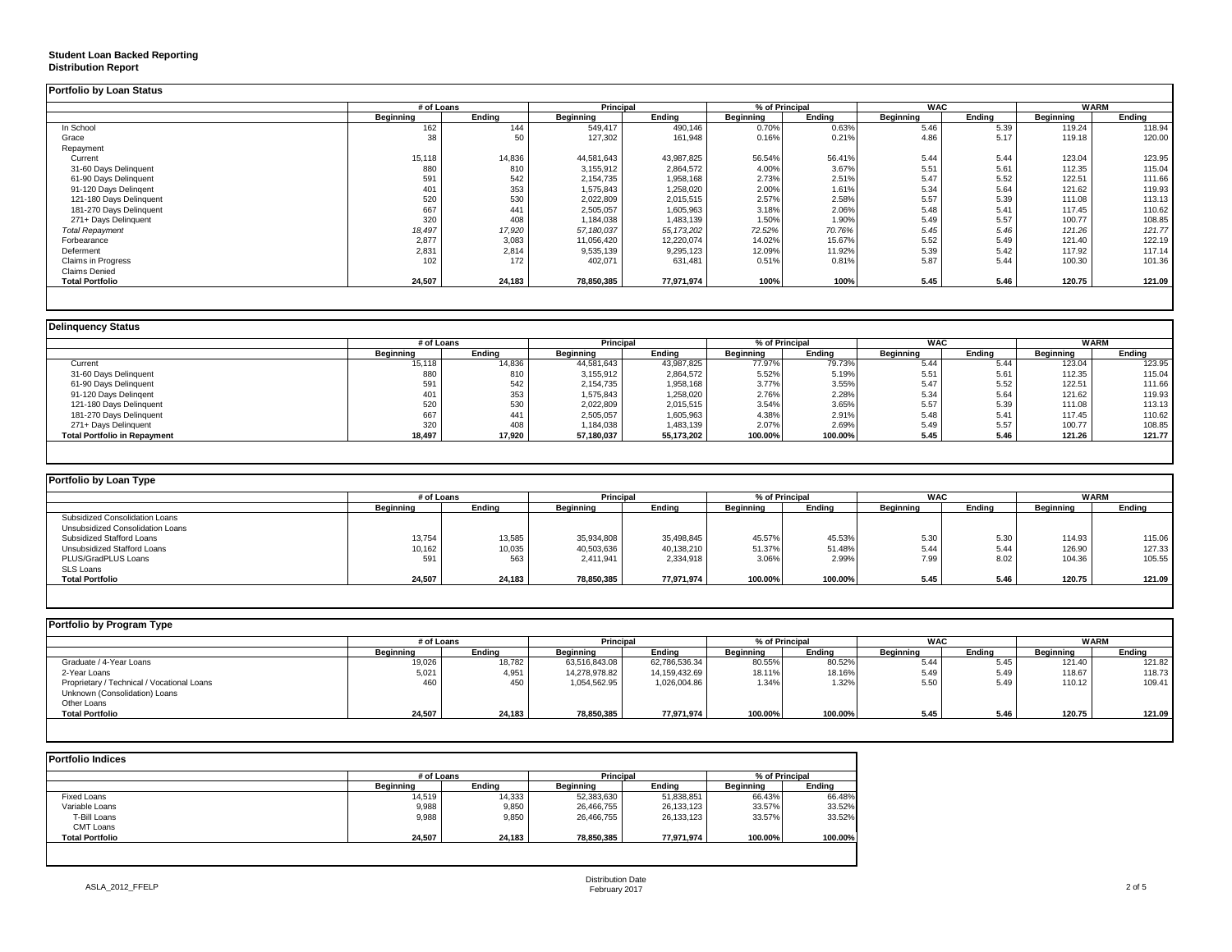## **Student Loan Backed Reporting**

#### **Distribution Report**

| <b>Portfolio by Loan Status</b> |            |        |                  |              |                |        |            |        |             |        |
|---------------------------------|------------|--------|------------------|--------------|----------------|--------|------------|--------|-------------|--------|
|                                 | # of Loans |        | <b>Principal</b> |              | % of Principal |        | <b>WAC</b> |        | <b>WARM</b> |        |
|                                 | Beginning  | Endina | Beginning        | Ending       | Beainnina      | Endina | Beainnina  | Endina | Beginning   | Ending |
| In School                       | 162        | 144    | 549,417          | 490,146      | 0.70%          | 0.63%  | 5.46       | 5.39   | 119.24      | 118.94 |
| Grace                           | 38         |        | 127,302          | 161,948      | 0.16%          | 0.21%  | 4.86       | 5.17   | 119.18      | 120.00 |
| Repayment                       |            |        |                  |              |                |        |            |        |             |        |
| Current                         | 15,118     | 14,836 | 44.581.643       | 43,987,825   | 56.54%         | 56.41% | 5.44       | 5.44   | 123.04      | 123.95 |
| 31-60 Days Delinquent           | 880        | 810    | 3,155,912        | 2,864,572    | 4.00%          | 3.67%  | 5.51       | 5.61   | 112.35      | 115.04 |
| 61-90 Days Delinquent           | 591        | 542    | 2,154,735        | 1,958,168    | 2.73%          | 2.51%  | 5.47       | 5.52   | 122.51      | 111.66 |
| 91-120 Days Delingent           | 401        | 353    | 1,575,843        | 1,258,020    | 2.00%          | 1.61%  | 5.34       | 5.64   | 121.62      | 119.93 |
| 121-180 Days Delinquent         | 520        | 530    | 2,022,809        | 2,015,515    | 2.57%          | 2.58%  | 5.57       | 5.39   | 111.08      | 113.13 |
| 181-270 Days Delinquent         | 667        | 441    | 2,505,057        | 1,605,963    | 3.18%          | 2.06%  | 5.48       | 5.41   | 117.45      | 110.62 |
| 271+ Days Delinquent            | 320        | 408    | 1,184,038        | 1,483,139    | 1.50%          | 1.90%  | 5.49       | 5.57   | 100.77      | 108.85 |
| <b>Total Repayment</b>          | 18,497     | 17,920 | 57,180,037       | 55, 173, 202 | 72.52%         | 70.76% | 5.45       | 5.46   | 121.26      | 121.77 |
| Forbearance                     | 2,877      | 3,083  | 11,056,420       | 12,220,074   | 14.02%         | 15.67% | 5.52       | 5.49   | 121.40      | 122.19 |
| Deferment                       | 2,831      | 2,814  | 9,535,139        | 9,295,123    | 12.09%         | 11.92% | 5.39       | 5.42   | 117.92      | 117.14 |
| Claims in Progress              | 102        | 172    | 402,071          | 631,481      | 0.51%          | 0.81%  | 5.87       | 5.44   | 100.30      | 101.36 |
| <b>Claims Denied</b>            |            |        |                  |              |                |        |            |        |             |        |
| <b>Total Portfolio</b>          | 24,507     | 24,183 | 78,850,385       | 77,971,974   | 100%           | 100%   | 5.45       | 5.46   | 120.75      | 121.09 |

|                                     | # of Loans |        | Principal  |            | % of Principal   |         | <b>WAC</b>       |        |                  | <b>WARM</b> |  |
|-------------------------------------|------------|--------|------------|------------|------------------|---------|------------------|--------|------------------|-------------|--|
|                                     | Beginning  | Ending | Beginning  | Ending     | <b>Beginning</b> | Endina  | <b>Beainning</b> | Endina | <b>Beginning</b> | Endina      |  |
| Current                             | 15,118     | 14,836 | 44,581,643 | 43,987,825 | 77.97%           | 79.73%  | 5.44             | 5.44   | 123.04           | 123.95      |  |
| 31-60 Days Delinquent               | 880        | 810    | 3,155,912  | 2,864,572  | 5.52%            | 5.19%   | 5.51             | 5.61   | 112.35           | 115.04      |  |
| 61-90 Days Delinquent               | 591        | 542    | 2,154,735  | 1,958,168  | 3.77%            | 3.55%   | 5.47             | 5.52   | 122.51           | 111.66      |  |
| 91-120 Days Delingent               | 401        | 353    | 1,575,843  | 1,258,020  | 2.76%            | 2.28%   | 5.34             | 5.64   | 121.62           | 119.93      |  |
| 121-180 Days Delinquent             | 520        | 530    | 2,022,809  | 2,015,515  | 3.54%            | 3.65%   | 5.57             | 5.39   | 111.08           | 113.13      |  |
| 181-270 Days Delinquent             | 667        | 441    | 2,505,057  | 1,605,963  | 4.38%            | 2.91%   | 5.48             | 5.41   | 117.45           | 110.62      |  |
| 271+ Days Delinquent                | 320        | 408    | 1,184,038  | 1,483,139  | 2.07%            | 2.69%   | 5.49             | 5.57   | 100.77           | 108.85      |  |
| <b>Total Portfolio in Repayment</b> | 18,497     | 17,920 | 57,180,037 | 55,173,202 | 100.00%          | 100.00% | 5.45             | 5.46   | 121.26           | 121.77      |  |

| Portfolio by Loan Type           |                  |        |                  |            |                  |                |                    |        |             |        |
|----------------------------------|------------------|--------|------------------|------------|------------------|----------------|--------------------|--------|-------------|--------|
|                                  | # of Loans       |        | Principal        |            |                  | % of Principal | <b>WAC</b>         |        | <b>WARM</b> |        |
|                                  | <b>Beginning</b> | Ending | <b>Beginning</b> | Ending     | <b>Beainning</b> | Ending         | <b>Beginning</b>   | Ending | Beginning   | Ending |
| Subsidized Consolidation Loans   |                  |        |                  |            |                  |                |                    |        |             |        |
| Unsubsidized Consolidation Loans |                  |        |                  |            |                  |                |                    |        |             |        |
| Subsidized Stafford Loans        | 13,754           | 13,585 | 35,934,808       | 35,498,845 | 45.57%           | 45.53%         | $E \Omega$<br>O.JU | 5.30   | 114.93      | 115.06 |
| Unsubsidized Stafford Loans      | 10,162           | 10,035 | 40,503,636       | 40,138,210 | 51.37%           | 51.48%         | 5.44               | 5.44   | 126.90      | 127.33 |
| PLUS/GradPLUS Loans              | 591              | 563    | 2.411.941        | 2.334.918  | 3.06%            | 2.99%          | 7.99               | 8.02   | 104.36      | 105.55 |
| SLS Loans                        |                  |        |                  |            |                  |                |                    |        |             |        |
| <b>Total Portfolio</b>           | 24,507           | 24,183 | 78,850,385       | 77,971,974 | 100.00%          | 100.00%        | 5.45               | 5.46   | 120.75      | 121.09 |

| # of Loans       |        | Principal        |               | % of Principal |         | <b>WAC</b>       |        | <b>WARM</b> |        |
|------------------|--------|------------------|---------------|----------------|---------|------------------|--------|-------------|--------|
| <b>Beginning</b> | Endina | <b>Beginning</b> | Endina        | Beginning      | Endina  | <b>Beginning</b> | Endina | Beginning   | Endina |
| 19,026           | 18,782 | 63,516,843.08    | 62,786,536.34 | 80.55%         | 80.52%  | 5.44             | 5.45   | 121.40      | 121.82 |
| 5,021            | 4,951  | 14,278,978.82    | 14,159,432.69 | 18.11%         | 18.16%  | 5.49             | 5.49   | 118.67      | 118.73 |
| 460              | 450    | 1,054,562.95     | 1,026,004.86  | 1.34%          | 1.32%   | 5.50             | 5.49   | 110.12      | 109.41 |
|                  |        |                  |               |                |         |                  |        |             |        |
|                  |        |                  |               |                |         |                  |        |             |        |
| 24,507           | 24,183 | 78,850,385       | 77,971,974    | 100.00%        | 100.00% | 5.45             | 5.46   | 120.75      | 121.09 |
|                  |        |                  |               |                |         |                  |        |             |        |

| <b>Portfolio Indices</b> |            |        |                  |            |                  |         |  |  |  |  |  |  |
|--------------------------|------------|--------|------------------|------------|------------------|---------|--|--|--|--|--|--|
|                          | # of Loans |        | Principal        |            | % of Principal   |         |  |  |  |  |  |  |
|                          | Beainnina  | Endina | <b>Beainning</b> | Endina     | <b>Beginning</b> | Endina  |  |  |  |  |  |  |
| Fixed Loans              | 14,519     | 14,333 | 52,383,630       | 51,838,851 | 66.43%           | 66.48%  |  |  |  |  |  |  |
| Variable Loans           | 9,988      | 9,850  | 26,466,755       | 26,133,123 | 33.57%           | 33.52%  |  |  |  |  |  |  |
| T-Bill Loans             | 9,988      | 9,850  | 26.466.755       | 26,133,123 | 33.57%           | 33.52%  |  |  |  |  |  |  |
| CMT Loans                |            |        |                  |            |                  |         |  |  |  |  |  |  |
| <b>Total Portfolio</b>   | 24.507     | 24.183 | 78,850,385       | 77.971.974 | 100.00%          | 100.00% |  |  |  |  |  |  |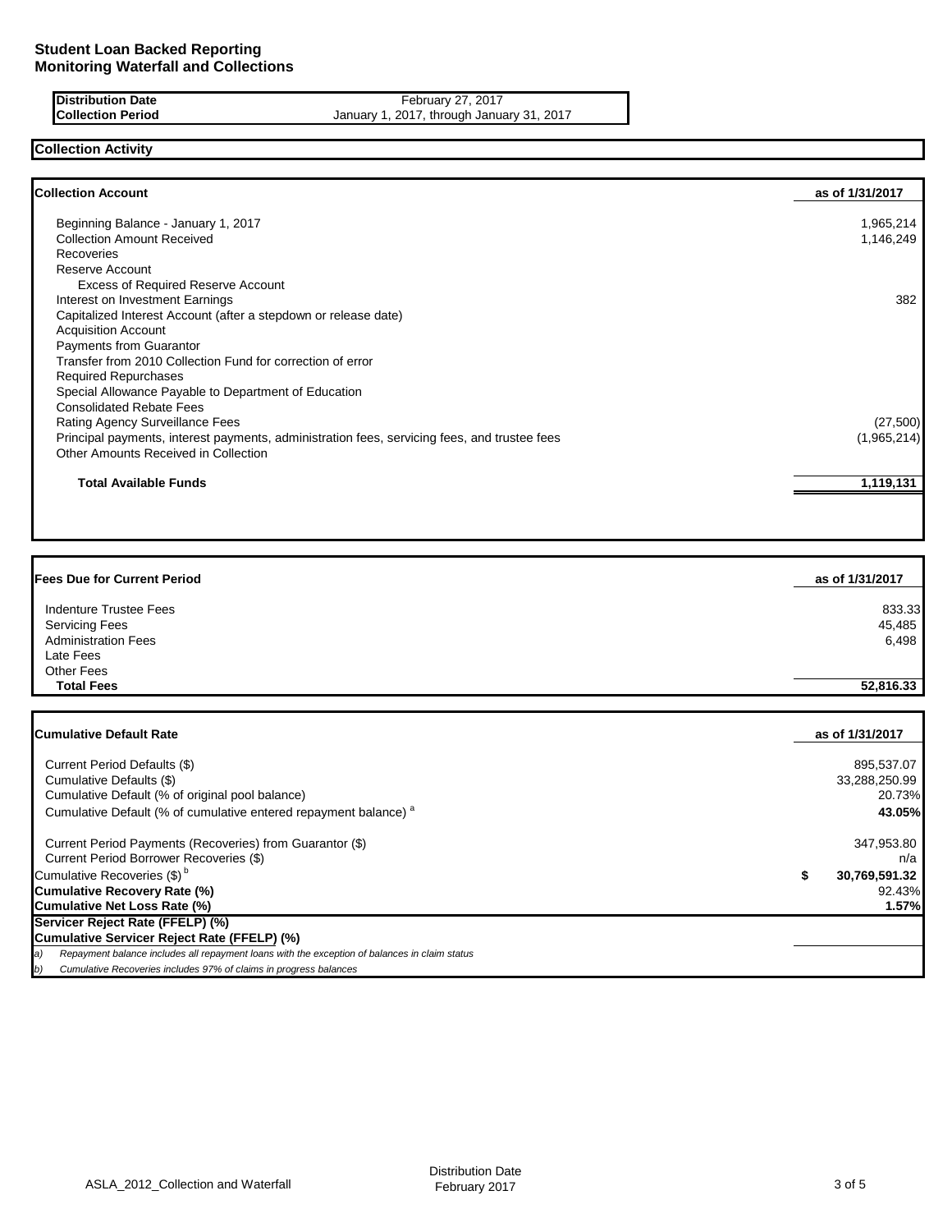### **Distribution Date February 27, 2017 Collection Period** January 1, 2017, through January 31, 2017

# **Collection Activity**

| <b>Collection Account</b>                                                                    | as of 1/31/2017 |
|----------------------------------------------------------------------------------------------|-----------------|
| Beginning Balance - January 1, 2017                                                          | 1,965,214       |
| <b>Collection Amount Received</b>                                                            | 1,146,249       |
| Recoveries                                                                                   |                 |
| Reserve Account                                                                              |                 |
| <b>Excess of Required Reserve Account</b>                                                    |                 |
| Interest on Investment Earnings                                                              | 382             |
| Capitalized Interest Account (after a stepdown or release date)                              |                 |
| <b>Acquisition Account</b>                                                                   |                 |
| Payments from Guarantor                                                                      |                 |
| Transfer from 2010 Collection Fund for correction of error                                   |                 |
| <b>Required Repurchases</b>                                                                  |                 |
| Special Allowance Payable to Department of Education                                         |                 |
| <b>Consolidated Rebate Fees</b>                                                              |                 |
| Rating Agency Surveillance Fees                                                              | (27,500)        |
| Principal payments, interest payments, administration fees, servicing fees, and trustee fees | (1,965,214)     |
| Other Amounts Received in Collection                                                         |                 |
| <b>Total Available Funds</b>                                                                 | 1,119,131       |
|                                                                                              |                 |

| <b>Fees Due for Current Period</b> | as of 1/31/2017 |
|------------------------------------|-----------------|
| Indenture Trustee Fees             | 833.33          |
| <b>Servicing Fees</b>              | 45,485          |
| <b>Administration Fees</b>         | 6,498           |
| Late Fees                          |                 |
| Other Fees                         |                 |
| <b>Total Fees</b>                  | 52,816.33       |
|                                    |                 |
| <b>Cumulative Default Rate</b>     | as of 1/31/2017 |

| Current Period Defaults (\$)<br>Cumulative Defaults (\$)<br>Cumulative Default (% of original pool balance)<br>Cumulative Default (% of cumulative entered repayment balance) <sup>a</sup> | 895.537.07<br>33,288,250.99<br>20.73%<br>43.05% |
|--------------------------------------------------------------------------------------------------------------------------------------------------------------------------------------------|-------------------------------------------------|
| Current Period Payments (Recoveries) from Guarantor (\$)<br>Current Period Borrower Recoveries (\$)                                                                                        | 347,953.80<br>n/a                               |
| Cumulative Recoveries (\$) <sup>b</sup>                                                                                                                                                    | 30,769,591.32                                   |
| Cumulative Recovery Rate (%)                                                                                                                                                               | 92.43%                                          |
| Cumulative Net Loss Rate (%)                                                                                                                                                               | 1.57%                                           |
| Servicer Reject Rate (FFELP) (%)                                                                                                                                                           |                                                 |
| Cumulative Servicer Reject Rate (FFELP) (%)                                                                                                                                                |                                                 |
| Repayment balance includes all repayment loans with the exception of balances in claim status<br>a)                                                                                        |                                                 |
| Cumulative Recoveries includes 97% of claims in progress balances                                                                                                                          |                                                 |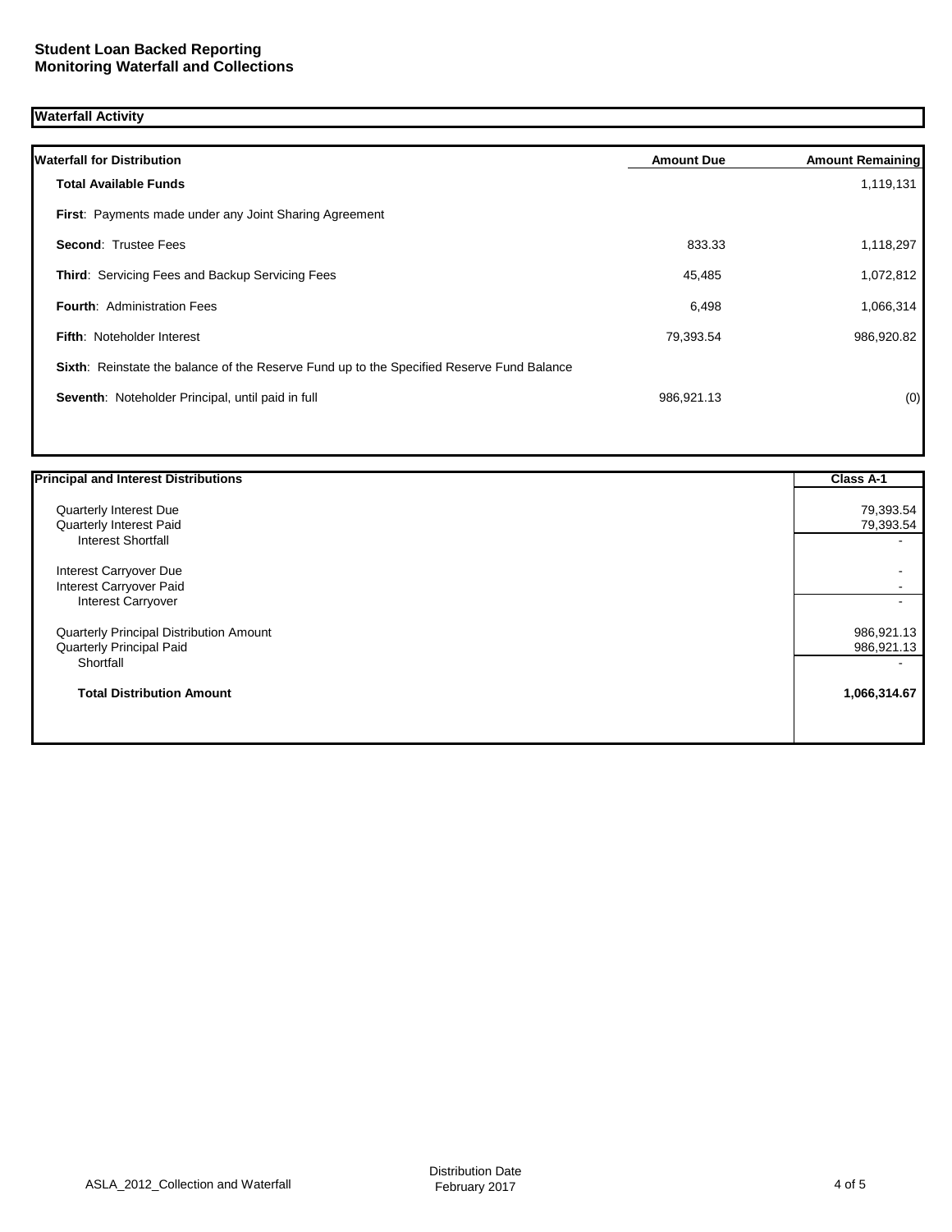## **Waterfall Activity**

| <b>Waterfall for Distribution</b>                                                         | <b>Amount Due</b> | <b>Amount Remaining</b> |
|-------------------------------------------------------------------------------------------|-------------------|-------------------------|
| <b>Total Available Funds</b>                                                              |                   | 1,119,131               |
| First: Payments made under any Joint Sharing Agreement                                    |                   |                         |
| <b>Second: Trustee Fees</b>                                                               | 833.33            | 1,118,297               |
| <b>Third: Servicing Fees and Backup Servicing Fees</b>                                    | 45,485            | 1,072,812               |
| <b>Fourth: Administration Fees</b>                                                        | 6,498             | 1,066,314               |
| <b>Fifth: Noteholder Interest</b>                                                         | 79,393.54         | 986,920.82              |
| Sixth: Reinstate the balance of the Reserve Fund up to the Specified Reserve Fund Balance |                   |                         |
| Seventh: Noteholder Principal, until paid in full                                         | 986,921.13        | (0)                     |
|                                                                                           |                   |                         |

| Quarterly Interest Due<br>Quarterly Interest Paid<br><b>Interest Shortfall</b><br>Interest Carryover Due<br>Interest Carryover Paid<br><b>Interest Carryover</b><br>Quarterly Principal Distribution Amount<br>Quarterly Principal Paid<br>Shortfall<br><b>Total Distribution Amount</b> | <b>Principal and Interest Distributions</b> | Class A-1    |
|------------------------------------------------------------------------------------------------------------------------------------------------------------------------------------------------------------------------------------------------------------------------------------------|---------------------------------------------|--------------|
|                                                                                                                                                                                                                                                                                          |                                             | 79,393.54    |
|                                                                                                                                                                                                                                                                                          |                                             | 79,393.54    |
|                                                                                                                                                                                                                                                                                          |                                             |              |
|                                                                                                                                                                                                                                                                                          |                                             |              |
|                                                                                                                                                                                                                                                                                          |                                             |              |
|                                                                                                                                                                                                                                                                                          |                                             |              |
|                                                                                                                                                                                                                                                                                          |                                             | 986,921.13   |
|                                                                                                                                                                                                                                                                                          |                                             | 986,921.13   |
|                                                                                                                                                                                                                                                                                          |                                             |              |
|                                                                                                                                                                                                                                                                                          |                                             | 1,066,314.67 |
|                                                                                                                                                                                                                                                                                          |                                             |              |